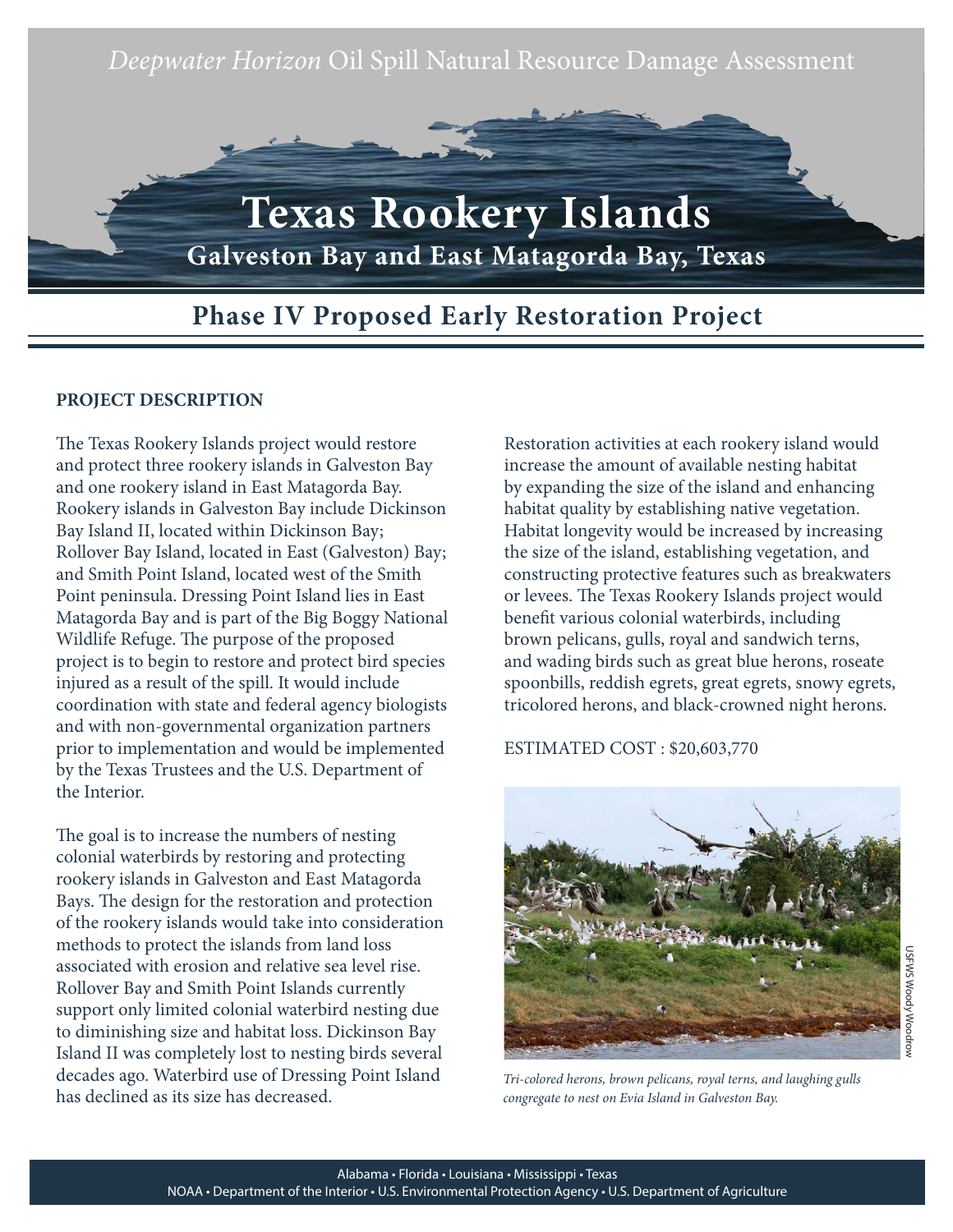



## **Phase IV Proposed Early Restoration Project**

## **PROJECT DESCRIPTION**

The Texas Rookery Islands project would restore and protect three rookery islands in Galveston Bay and one rookery island in East Matagorda Bay. Rookery islands in Galveston Bay include Dickinson Bay Island II, located within Dickinson Bay; Rollover Bay Island, located in East (Galveston) Bay; and Smith Point Island, located west of the Smith Point peninsula. Dressing Point Island lies in East Matagorda Bay and is part of the Big Boggy National Wildlife Refuge. The purpose of the proposed project is to begin to restore and protect bird species injured as a result of the spill. It would include coordination with state and federal agency biologists and with non-governmental organization partners prior to implementation and would be implemented by the Texas Trustees and the U.S. Department of the Interior.

The goal is to increase the numbers of nesting colonial waterbirds by restoring and protecting rookery islands in Galveston and East Matagorda Bays. The design for the restoration and protection of the rookery islands would take into consideration methods to protect the islands from land loss associated with erosion and relative sea level rise. Rollover Bay and Smith Point Islands currently support only limited colonial waterbird nesting due to diminishing size and habitat loss. Dickinson Bay Island II was completely lost to nesting birds several decades ago. Waterbird use of Dressing Point Island has declined as its size has decreased.

Restoration activities at each rookery island would increase the amount of available nesting habitat by expanding the size of the island and enhancing habitat quality by establishing native vegetation. Habitat longevity would be increased by increasing the size of the island, establishing vegetation, and constructing protective features such as breakwaters or levees. The Texas Rookery Islands project would benefit various colonial waterbirds, including brown pelicans, gulls, royal and sandwich terns, and wading birds such as great blue herons, roseate spoonbills, reddish egrets, great egrets, snowy egrets, tricolored herons, and black-crowned night herons.

ESTIMATED COST : \$20,603,770



*Tri-colored herons, brown pelicans, royal terns, and laughing gulls congregate to nest on Evia Island in Galveston Bay.*